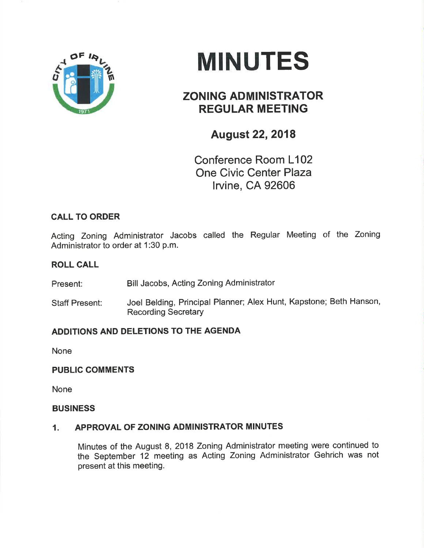

# MINUTES

## ZONING ADMINISTRATOR REGULAR MEETING

## August 22,2018

Conference Room L102 One Civic Center Plaza lrvine, CA 92606

### CALL TO ORDER

Acting Zoning Administrator Jacobs called the Regular Meeting of the Zoning Administrator to order at 1:30 p.m.

#### ROLL CALL

Present: Bill Jacobs, Acting Zoning Administrator

Staff Present: Joel Belding, Principal Planner; Alex Hunt, Kapstone; Beth Hanson, Recording Secretary

#### ADDITIONS AND DELETIONS TO THE AGENDA

None

#### **PUBLIC COMMENTS**

None

#### **BUSINESS**

#### 1. APPROVAL OF ZONING ADMINISTRATOR MINUTES

Minutes of the August 8,2018 Zoning Administrator meeting were continued to the September 12 meeting as Acting Zoning Administrator Gehrich was not present at this meeting.